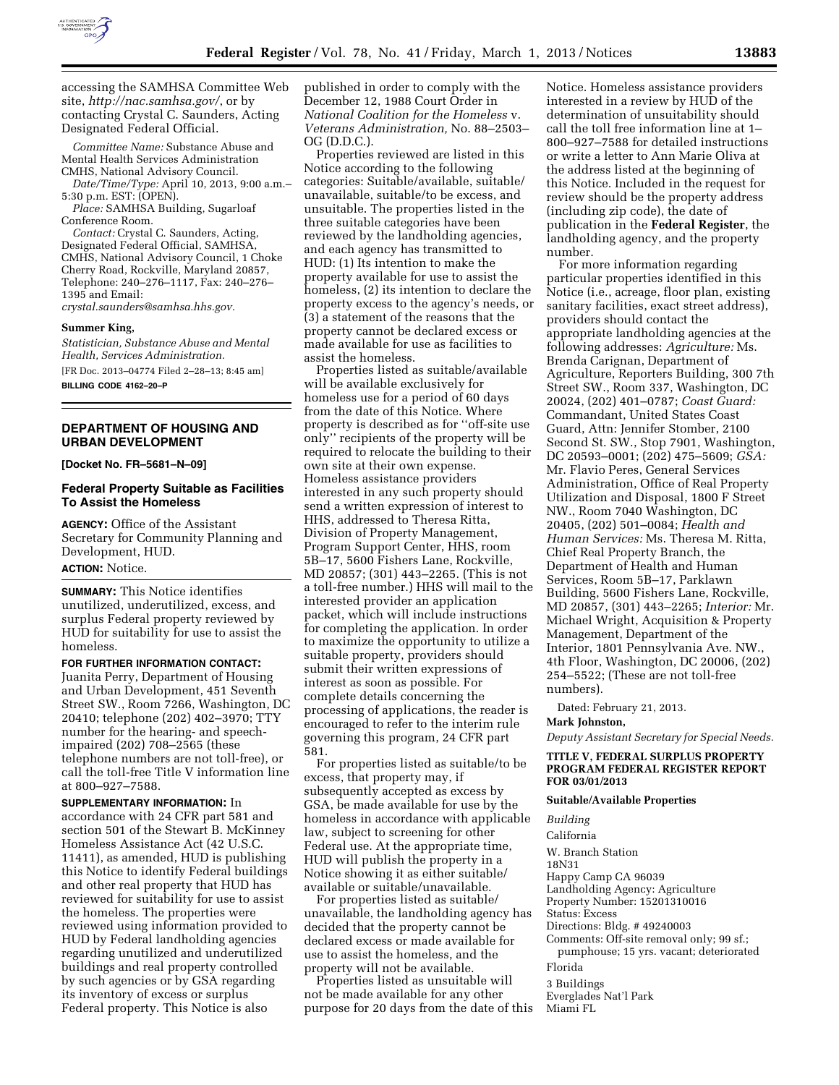

accessing the SAMHSA Committee Web site, *<http://nac.samhsa.gov/>*, or by contacting Crystal C. Saunders, Acting Designated Federal Official.

*Committee Name:* Substance Abuse and Mental Health Services Administration CMHS, National Advisory Council.

*Date/Time/Type:* April 10, 2013, 9:00 a.m.– 5:30 p.m. EST: (OPEN).

*Place:* SAMHSA Building, Sugarloaf Conference Room.

*Contact:* Crystal C. Saunders, Acting, Designated Federal Official, SAMHSA, CMHS, National Advisory Council, 1 Choke Cherry Road, Rockville, Maryland 20857, Telephone: 240–276–1117, Fax: 240–276– 1395 and Email:

*[crystal.saunders@samhsa.hhs.gov.](mailto:crystal.saunders@samhsa.hhs.gov)* 

#### **Summer King,**

*Statistician, Substance Abuse and Mental Health, Services Administration.*  [FR Doc. 2013–04774 Filed 2–28–13; 8:45 am]

**BILLING CODE 4162–20–P** 

# **DEPARTMENT OF HOUSING AND URBAN DEVELOPMENT**

**[Docket No. FR–5681–N–09]** 

## **Federal Property Suitable as Facilities To Assist the Homeless**

**AGENCY:** Office of the Assistant Secretary for Community Planning and Development, HUD.

# **ACTION:** Notice.

**SUMMARY:** This Notice identifies unutilized, underutilized, excess, and surplus Federal property reviewed by HUD for suitability for use to assist the homeless.

**FOR FURTHER INFORMATION CONTACT:**  Juanita Perry, Department of Housing and Urban Development, 451 Seventh Street SW., Room 7266, Washington, DC 20410; telephone (202) 402–3970; TTY number for the hearing- and speechimpaired (202) 708–2565 (these telephone numbers are not toll-free), or call the toll-free Title V information line at 800–927–7588.

**SUPPLEMENTARY INFORMATION:** In accordance with 24 CFR part 581 and section 501 of the Stewart B. McKinney Homeless Assistance Act (42 U.S.C. 11411), as amended, HUD is publishing this Notice to identify Federal buildings and other real property that HUD has reviewed for suitability for use to assist the homeless. The properties were reviewed using information provided to HUD by Federal landholding agencies regarding unutilized and underutilized buildings and real property controlled by such agencies or by GSA regarding its inventory of excess or surplus Federal property. This Notice is also

published in order to comply with the December 12, 1988 Court Order in *National Coalition for the Homeless* v. *Veterans Administration,* No. 88–2503– OG (D.D.C.).

Properties reviewed are listed in this Notice according to the following categories: Suitable/available, suitable/ unavailable, suitable/to be excess, and unsuitable. The properties listed in the three suitable categories have been reviewed by the landholding agencies, and each agency has transmitted to HUD: (1) Its intention to make the property available for use to assist the homeless, (2) its intention to declare the property excess to the agency's needs, or (3) a statement of the reasons that the property cannot be declared excess or made available for use as facilities to assist the homeless.

Properties listed as suitable/available will be available exclusively for homeless use for a period of 60 days from the date of this Notice. Where property is described as for ''off-site use only'' recipients of the property will be required to relocate the building to their own site at their own expense. Homeless assistance providers interested in any such property should send a written expression of interest to HHS, addressed to Theresa Ritta, Division of Property Management, Program Support Center, HHS, room 5B–17, 5600 Fishers Lane, Rockville, MD 20857; (301) 443–2265. (This is not a toll-free number.) HHS will mail to the interested provider an application packet, which will include instructions for completing the application. In order to maximize the opportunity to utilize a suitable property, providers should submit their written expressions of interest as soon as possible. For complete details concerning the processing of applications, the reader is encouraged to refer to the interim rule governing this program, 24 CFR part 581.

For properties listed as suitable/to be excess, that property may, if subsequently accepted as excess by GSA, be made available for use by the homeless in accordance with applicable law, subject to screening for other Federal use. At the appropriate time, HUD will publish the property in a Notice showing it as either suitable/ available or suitable/unavailable.

For properties listed as suitable/ unavailable, the landholding agency has decided that the property cannot be declared excess or made available for use to assist the homeless, and the property will not be available.

Properties listed as unsuitable will not be made available for any other purpose for 20 days from the date of this Notice. Homeless assistance providers interested in a review by HUD of the determination of unsuitability should call the toll free information line at 1– 800–927–7588 for detailed instructions or write a letter to Ann Marie Oliva at the address listed at the beginning of this Notice. Included in the request for review should be the property address (including zip code), the date of publication in the **Federal Register**, the landholding agency, and the property number.

For more information regarding particular properties identified in this Notice (i.e., acreage, floor plan, existing sanitary facilities, exact street address), providers should contact the appropriate landholding agencies at the following addresses: *Agriculture:* Ms. Brenda Carignan, Department of Agriculture, Reporters Building, 300 7th Street SW., Room 337, Washington, DC 20024, (202) 401–0787; *Coast Guard:*  Commandant, United States Coast Guard, Attn: Jennifer Stomber, 2100 Second St. SW., Stop 7901, Washington, DC 20593–0001; (202) 475–5609; *GSA:*  Mr. Flavio Peres, General Services Administration, Office of Real Property Utilization and Disposal, 1800 F Street NW., Room 7040 Washington, DC 20405, (202) 501–0084; *Health and Human Services:* Ms. Theresa M. Ritta, Chief Real Property Branch, the Department of Health and Human Services, Room 5B–17, Parklawn Building, 5600 Fishers Lane, Rockville, MD 20857, (301) 443–2265; *Interior:* Mr. Michael Wright, Acquisition & Property Management, Department of the Interior, 1801 Pennsylvania Ave. NW., 4th Floor, Washington, DC 20006, (202) 254–5522; (These are not toll-free numbers).

Dated: February 21, 2013.

## **Mark Johnston,**

*Deputy Assistant Secretary for Special Needs.* 

#### **TITLE V, FEDERAL SURPLUS PROPERTY PROGRAM FEDERAL REGISTER REPORT FOR 03/01/2013**

#### **Suitable/Available Properties**

*Building* 

California

W. Branch Station

18N31

Happy Camp CA 96039

Landholding Agency: Agriculture

Property Number: 15201310016

Status: Excess

Directions: Bldg. # 49240003 Comments: Off-site removal only; 99 sf.;

pumphouse; 15 yrs. vacant; deteriorated Florida

3 Buildings

Everglades Nat'l Park

Miami FL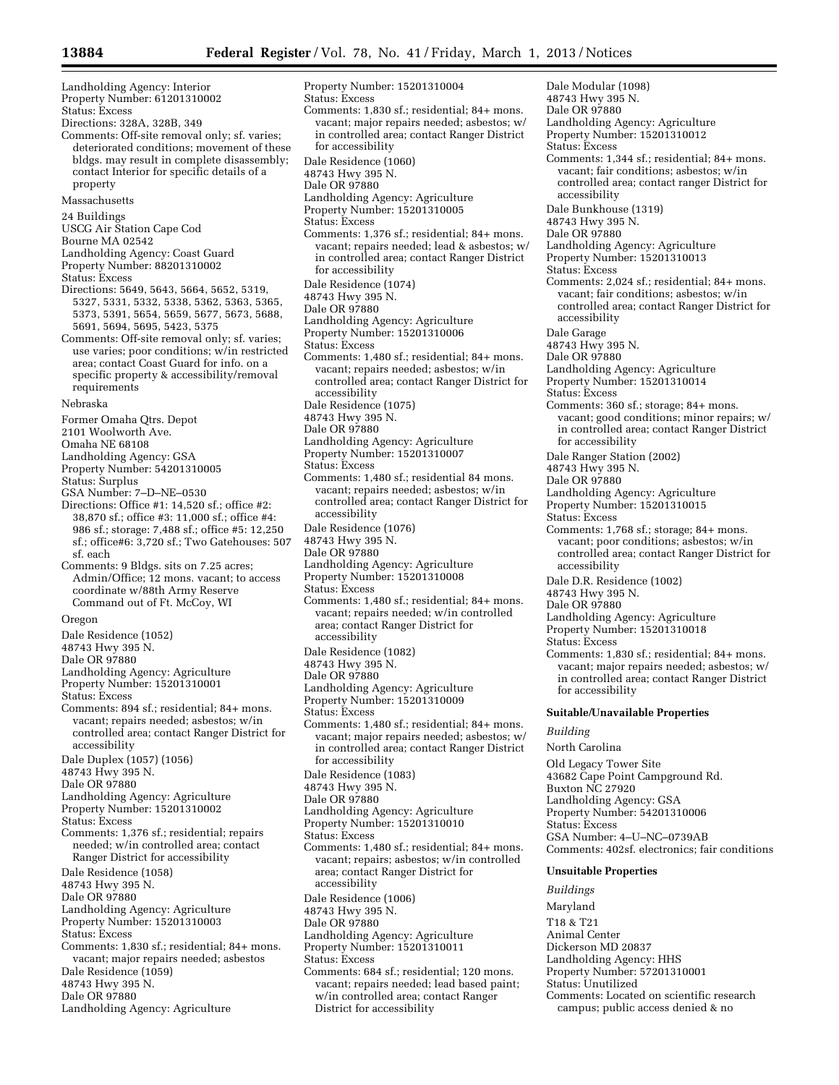Landholding Agency: Interior Property Number: 61201310002 Status: Excess Directions: 328A, 328B, 349 Comments: Off-site removal only; sf. varies; deteriorated conditions; movement of these bldgs. may result in complete disassembly; contact Interior for specific details of a property Massachusetts 24 Buildings USCG Air Station Cape Cod Bourne MA 02542 Landholding Agency: Coast Guard Property Number: 88201310002 Status: Excess Directions: 5649, 5643, 5664, 5652, 5319, 5327, 5331, 5332, 5338, 5362, 5363, 5365, 5373, 5391, 5654, 5659, 5677, 5673, 5688, 5691, 5694, 5695, 5423, 5375 Comments: Off-site removal only; sf. varies; use varies; poor conditions; w/in restricted area; contact Coast Guard for info. on a specific property & accessibility/removal requirements Nebraska Former Omaha Qtrs. Depot 2101 Woolworth Ave. Omaha NE 68108 Landholding Agency: GSA Property Number: 54201310005 Status: Surplus GSA Number: 7–D–NE–0530 Directions: Office #1: 14,520 sf.; office #2: 38,870 sf.; office #3: 11,000 sf.; office #4: 986 sf.; storage: 7,488 sf.; office #5: 12,250 sf.; office#6: 3,720 sf.; Two Gatehouses: 507 sf. each Comments: 9 Bldgs. sits on 7.25 acres; Admin/Office; 12 mons. vacant; to access coordinate w/88th Army Reserve Command out of Ft. McCoy, WI Oregon Dale Residence (1052) 48743 Hwy 395 N. Dale OR 97880 Landholding Agency: Agriculture Property Number: 15201310001 Status: Excess Comments: 894 sf.; residential; 84+ mons. vacant; repairs needed; asbestos; w/in controlled area; contact Ranger District for accessibility Dale Duplex (1057) (1056) 48743 Hwy 395 N. Dale OR 97880 Landholding Agency: Agriculture Property Number: 15201310002 Status: Excess Comments: 1,376 sf.; residential; repairs needed; w/in controlled area; contact Ranger District for accessibility Dale Residence (1058) 48743 Hwy 395 N. Dale OR 97880 Landholding Agency: Agriculture Property Number: 15201310003 Status: Excess Comments: 1,830 sf.; residential; 84+ mons. vacant; major repairs needed; asbestos Dale Residence (1059) 48743 Hwy 395 N.

Dale OR 97880 Landholding Agency: Agriculture

Property Number: 15201310004 Status: Excess Comments: 1,830 sf.; residential; 84+ mons. vacant; major repairs needed; asbestos; w/ in controlled area; contact Ranger District for accessibility Dale Residence (1060) 48743 Hwy 395 N. Dale OR 97880 Landholding Agency: Agriculture Property Number: 15201310005 Status: Excess Comments: 1,376 sf.; residential; 84+ mons. vacant; repairs needed; lead & asbestos; w/ in controlled area; contact Ranger District for accessibility Dale Residence (1074) 48743 Hwy 395 N. Dale OR 97880 Landholding Agency: Agriculture Property Number: 15201310006 Status: Excess Comments: 1,480 sf.; residential; 84+ mons. vacant; repairs needed; asbestos; w/in controlled area; contact Ranger District for accessibility Dale Residence (1075) 48743 Hwy 395 N. Dale OR 97880 Landholding Agency: Agriculture Property Number: 15201310007 Status: Excess Comments: 1,480 sf.; residential 84 mons. vacant; repairs needed; asbestos; w/in controlled area; contact Ranger District for accessibility Dale Residence (1076) 48743 Hwy 395 N. Dale OR 97880 Landholding Agency: Agriculture Property Number: 15201310008 Status: Excess Comments: 1,480 sf.; residential; 84+ mons. vacant; repairs needed; w/in controlled area; contact Ranger District for accessibility Dale Residence (1082) 48743 Hwy 395 N. Dale OR 97880 Landholding Agency: Agriculture Property Number: 15201310009 Status: Excess Comments: 1,480 sf.; residential; 84+ mons. vacant; major repairs needed; asbestos; w/ in controlled area; contact Ranger District for accessibility Dale Residence (1083) 48743 Hwy 395 N. Dale OR 97880 Landholding Agency: Agriculture Property Number: 15201310010 Status: Excess Comments: 1,480 sf.; residential; 84+ mons. vacant; repairs; asbestos; w/in controlled area; contact Ranger District for accessibility Dale Residence (1006) 48743 Hwy 395 N. Dale OR 97880 Landholding Agency: Agriculture Property Number: 15201310011 Status: Excess Comments: 684 sf.; residential; 120 mons. vacant; repairs needed; lead based paint;

w/in controlled area; contact Ranger District for accessibility

Dale Modular (1098) 48743 Hwy 395 N. Dale OR 97880 Landholding Agency: Agriculture Property Number: 15201310012 Status: Excess Comments: 1,344 sf.; residential; 84+ mons. vacant; fair conditions; asbestos; w/in controlled area; contact ranger District for accessibility Dale Bunkhouse (1319) 48743 Hwy 395 N. Dale OR 97880 Landholding Agency: Agriculture Property Number: 15201310013 Status: Excess Comments: 2,024 sf.; residential; 84+ mons. vacant; fair conditions; asbestos; w/in controlled area; contact Ranger District for accessibility Dale Garage 48743 Hwy 395 N. Dale OR 97880 Landholding Agency: Agriculture Property Number: 15201310014 Status: Excess Comments: 360 sf.; storage; 84+ mons. vacant; good conditions; minor repairs; w/ in controlled area; contact Ranger District for accessibility Dale Ranger Station (2002) 48743 Hwy 395 N. Dale OR 97880 Landholding Agency: Agriculture Property Number: 15201310015 Status: Excess Comments: 1,768 sf.; storage; 84+ mons. vacant; poor conditions; asbestos; w/in controlled area; contact Ranger District for accessibility Dale D.R. Residence (1002) 48743 Hwy 395 N. Dale OR 97880 Landholding Agency: Agriculture Property Number: 15201310018 Status: Excess Comments: 1,830 sf.; residential; 84+ mons. vacant; major repairs needed; asbestos; w/ in controlled area; contact Ranger District for accessibility **Suitable/Unavailable Properties**  *Building*  North Carolina Old Legacy Tower Site 43682 Cape Point Campground Rd. Buxton NC 27920 Landholding Agency: GSA Property Number: 54201310006 Status: Excess GSA Number: 4–U–NC–0739AB Comments: 402sf. electronics; fair conditions **Unsuitable Properties**  *Buildings* 

Maryland T18 & T21 Animal Center Dickerson MD 20837 Landholding Agency: HHS

Property Number: 57201310001 Status: Unutilized Comments: Located on scientific research

campus; public access denied & no